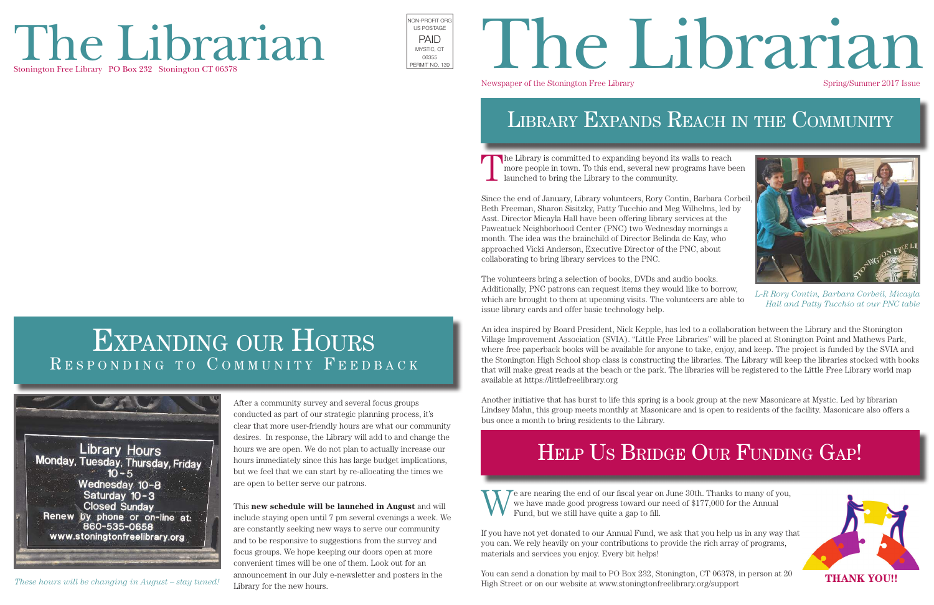The Library is committed to expanding beyond its walls to reach more people in town. To this end, several new programs have been launched to bring the Library to the community.

Since the end of January, Library volunteers, Rory Contin, Barbara Corbeil, Beth Freeman, Sharon Sisitzky, Patty Tucchio and Meg Wilhelms, led by Asst. Director Micayla Hall have been offering library services at the Pawcatuck Neighborhood Center (PNC) two Wednesday mornings a month. The idea was the brainchild of Director Belinda de Kay, who approached Vicki Anderson, Executive Director of the PNC, about collaborating to bring library services to the PNC.

The volunteers bring a selection of books, DVDs and audio books. Additionally, PNC patrons can request items they would like to borrow, which are brought to them at upcoming visits. The volunteers are able to issue library cards and offer basic technology help.

An idea inspired by Board President, Nick Kepple, has led to a collaboration between the Library and the Stonington Village Improvement Association (SVIA). "Little Free Libraries" will be placed at Stonington Point and Mathews Park, where free paperback books will be available for anyone to take, enjoy, and keep. The project is funded by the SVIA and the Stonington High School shop class is constructing the libraries. The Library will keep the libraries stocked with books that will make great reads at the beach or the park. The libraries will be registered to the Little Free Library world map available at https://littlefreelibrary.org

Another initiative that has burst to life this spring is a book group at the new Masonicare at Mystic. Led by librarian Lindsey Mahn, this group meets monthly at Masonicare and is open to residents of the facility. Masonicare also offers a bus once a month to bring residents to the Library.

# The Librarian Stonington Free Library PO Box 232 Stonington CT 06378



# Newspaper of the Stonington Free Library Spring/Summer 2017 Issue PAID<br>MSTIG.CT PAID TRIDTANA

# LIBRARY EXPANDS REACH IN THE COMMUNITY



If you have not yet donated to our Annual Fund, we ask that you help us in any way that you can. We rely heavily on your contributions to provide the rich array of programs, materials and services you enjoy. Every bit helps!

You can send a donation by mail to PO Box 232, Stonington, CT 06378, in person at 20 High Street or on our website at www.stoningtonfreelibrary.org/support

# EXPANDING OUR HOURS RESPONDING TO COMMUNITY FEEDBACK



After a community survey and several focus groups conducted as part of our strategic planning process, it's clear that more user-friendly hours are what our community desires. In response, the Library will add to and change the hours we are open. We do not plan to actually increase our hours immediately since this has large budget implications, but we feel that we can start by re-allocating the times we are open to better serve our patrons.

This **new schedule will be launched in August** and will include staying open until 7 pm several evenings a week. We are constantly seeking new ways to serve our community and to be responsive to suggestions from the survey and focus groups. We hope keeping our doors open at more convenient times will be one of them. Look out for an announcement in our July e-newsletter and posters in the Library for the new hours.





*L-R Rory Contin, Barbara Corbeil, Micayla Hall and Patty Tucchio at our PNC table*

# HELP US BRIDGE OUR FUNDING GAP!

*These hours will be changing in August – stay tuned!*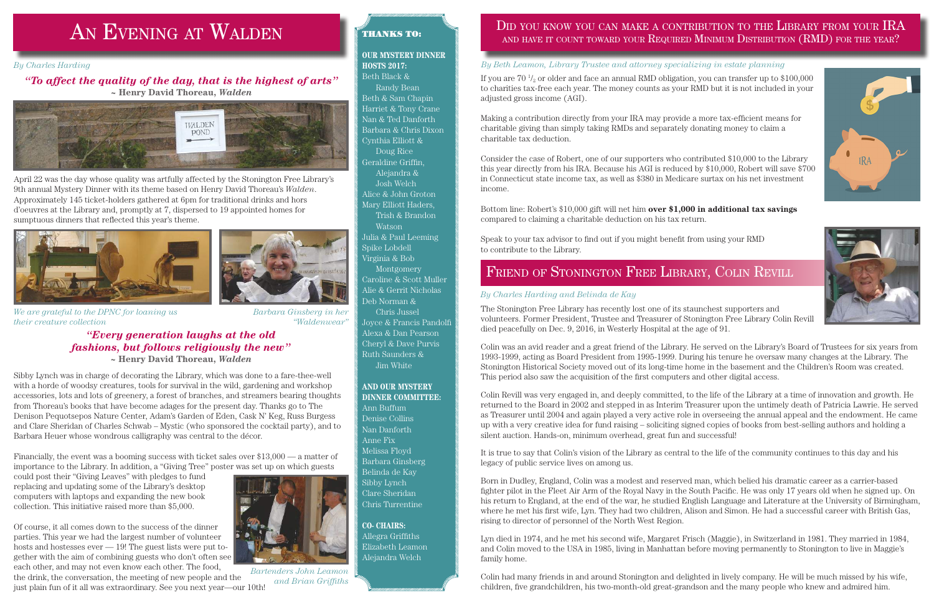### *"Every generation laughs at the old fashions, but follows religiously the new"* **~ Henry David Thoreau,** *Walden*

Sibby Lynch was in charge of decorating the Library, which was done to a fare-thee-well with a horde of woodsy creatures, tools for survival in the wild, gardening and workshop accessories, lots and lots of greenery, a forest of branches, and streamers bearing thoughts from Thoreau's books that have become adages for the present day. Thanks go to The Denison Pequotsepos Nature Center, Adam's Garden of Eden, Cask N' Keg, Russ Burgess and Clare Sheridan of Charles Schwab – Mystic (who sponsored the cocktail party), and to Barbara Heuer whose wondrous calligraphy was central to the décor.

Financially, the event was a booming success with ticket sales over \$13,000 — a matter of importance to the Library. In addition, a "Giving Tree" poster was set up on which guests

could post their "Giving Leaves" with pledges to fund replacing and updating some of the Library's desktop computers with laptops and expanding the new book collection. This initiative raised more than \$5,000.

Of course, it all comes down to the success of the dinner parties. This year we had the largest number of volunteer hosts and hostesses ever — 19! The guest lists were put together with the aim of combining guests who don't often see each other, and may not even know each other. The food,

the drink, the conversation, the meeting of new people and the just plain fun of it all was extraordinary. See you next year—our 10th!

# AN EVENING AT WALDEN

#### *By Charles Harding*

### *"To affect the quality of the day, that is the highest of arts"* **~ Henry David Thoreau,** *Walden*



### THANKS TO:

### **OUR MYSTERY DINNER HOSTS 2017:**

Beth Black & Randy Bean Beth & Sam Chapin Harriet & Tony Crane Nan & Ted Danforth Barbara & Chris Dixon Cynthia Elliott & Doug Rice Geraldine Griffin, Alejandra & Josh Welch Alice & John Groton Mary Elliott Haders, Trish & Brandon Watson Julia & Paul Leeming Spike Lobdell

Virginia & Bob Montgomery Caroline & Scott Muller Alie & Gerrit Nicholas Deb Norman &

Chris Jussel Joyce & Francis Pandolfi Alexa & Dan Pearson Cheryl & Dave Purvis

Ruth Saunders & Jim White

#### **AND OUR MYSTERY DINNER COMMITTEE:**

Ann Buffum Denise Collins Nan Danforth Anne Fix Melissa Floyd Barbara Ginsberg Belinda de Kay Sibby Lynch Clare Sheridan Chris Turrentine

#### **CO- CHAIRS:** Allegra Griffiths

Elizabeth Leamon Alejandra Welch

## DID YOU KNOW YOU CAN MAKE A CONTRIBUTION TO THE LIBRARY FROM YOUR IRA and have it count toward your Required Minimum Distribution (RMD) for the year?

*Barbara Ginsberg in her "Waldenwear"*

If you are  $70\frac{1}{2}$  or older and face an annual RMD obligation, you can transfer up to  $\$100,\!000$ to charities tax-free each year. The money counts as your RMD but it is not included in your adjusted gross income (AGI).

The Stonington Free Library has recently lost one of its staunchest supporters and volunteers. Former President, Trustee and Treasurer of Stonington Free Library Colin Revill died peacefully on Dec. 9, 2016, in Westerly Hospital at the age of 91.

Colin was an avid reader and a great friend of the Library. He served on the Library's Board of Trustees for six years from 1993-1999, acting as Board President from 1995-1999. During his tenure he oversaw many changes at the Library. The Stonington Historical Society moved out of its long-time home in the basement and the Children's Room was created. This period also saw the acquisition of the first computers and other digital access.

Colin Revill was very engaged in, and deeply committed, to the life of the Library at a time of innovation and growth. He returned to the Board in 2002 and stepped in as Interim Treasurer upon the untimely death of Patricia Lawrie. He served as Treasurer until 2004 and again played a very active role in overseeing the annual appeal and the endowment. He came up with a very creative idea for fund raising – soliciting signed copies of books from best-selling authors and holding a silent auction. Hands-on, minimum overhead, great fun and successful!

It is true to say that Colin's vision of the Library as central to the life of the community continues to this day and his legacy of public service lives on among us.

Born in Dudley, England, Colin was a modest and reserved man, which belied his dramatic career as a carrier-based fighter pilot in the Fleet Air Arm of the Royal Navy in the South Pacific. He was only 17 years old when he signed up. On his return to England, at the end of the war, he studied English Language and Literature at the University of Birmingham, where he met his first wife, Lyn. They had two children, Alison and Simon. He had a successful career with British Gas, rising to director of personnel of the North West Region.

Lyn died in 1974, and he met his second wife, Margaret Frisch (Maggie), in Switzerland in 1981. They married in 1984, and Colin moved to the USA in 1985, living in Manhattan before moving permanently to Stonington to live in Maggie's family home.

Colin had many friends in and around Stonington and delighted in lively company. He will be much missed by his wife, children, five grandchildren, his two-month-old great-grandson and the many people who knew and admired him.





Making a contribution directly from your IRA may provide a more tax-efficient means for charitable giving than simply taking RMDs and separately donating money to claim a charitable tax deduction.

Consider the case of Robert, one of our supporters who contributed \$10,000 to the Library this year directly from his IRA. Because his AGI is reduced by \$10,000, Robert will save \$700 in Connecticut state income tax, as well as \$380 in Medicare surtax on his net investment income.

Bottom line: Robert's \$10,000 gift will net him **over \$1,000 in additional tax savings** compared to claiming a charitable deduction on his tax return.

Speak to your tax advisor to find out if you might benefit from using your RMD to contribute to the Library.

## FRIEND OF STONINGTON FREE LIBRARY, COLIN REVILL

#### *By Beth Leamon, Library Trustee and attorney specializing in estate planning*

### *By Charles Harding and Belinda de Kay*

*We are grateful to the DPNC for loaning us their creature collection*



*Bartenders John Leamon and Brian Griffiths*

April 22 was the day whose quality was artfully affected by the Stonington Free Library's 9th annual Mystery Dinner with its theme based on Henry David Thoreau's *Walden*. Approximately 145 ticket-holders gathered at 6pm for traditional drinks and hors d'oeuvres at the Library and, promptly at 7, dispersed to 19 appointed homes for sumptuous dinners that reflected this year's theme.



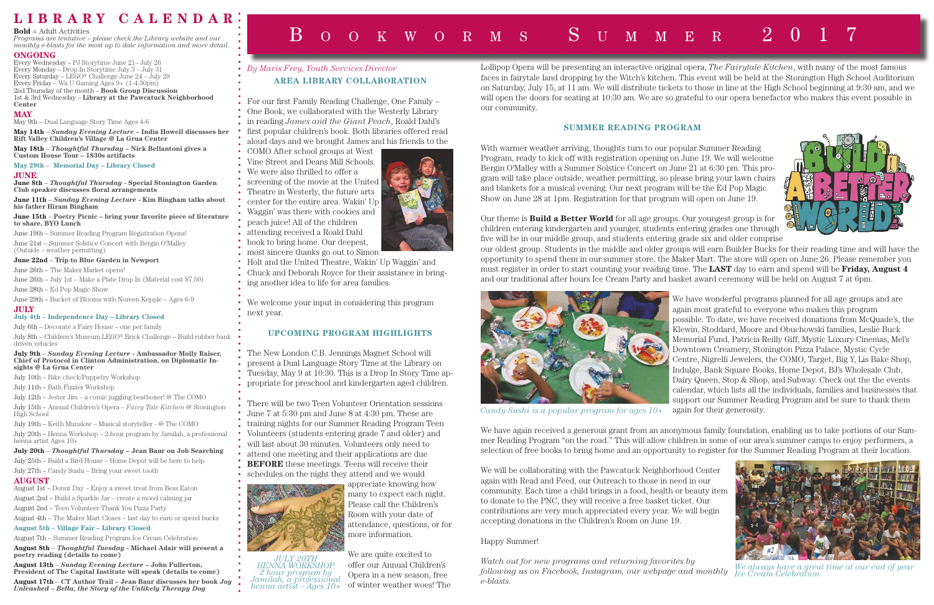Lollipop Opera will be presenting an interactive original opera, *The Fairytale Kitchen*, with many of the most famous faces in fairytale land dropping by the Witch's kitchen. This event will be held at the Stonington High School Auditorium on Saturday, July 15, at 11 am. We will distribute tickets to those in line at the High School beginning at 9:30 am, and we will open the doors for seating at 10:30 am. We are so grateful to our opera benefactor who makes this event possible in our community.

### **SUMMER READING PROGRAM**

With warmer weather arriving, thoughts turn to our popular Summer Reading Program, ready to kick off with registration opening on June 19. We will welcome Bergin O'Malley with a Summer Solstice Concert on June 21 at 6:30 pm. This program will take place outside, weather permitting, so please bring your lawn chairs and blankets for a musical evening. Our next program will be the Ed Pop Magic Show on June 28 at 1pm. Registration for that program will open on June 19.

Our theme is **Build a Better World** for all age groups. Our youngest group is for children entering kindergarten and younger, students entering grades one through five will be in our middle group, and students entering grade six and older comprise our oldest group. Students in the middle and older groups will earn Builder Bucks for their reading time and will have the opportunity to spend them in our summer store, the Maker Mart. The store will open on June 26. Please remember you must register in order to start counting your reading time. The **LAST** day to earn and spend will be **Friday, August 4** and our traditional after hours Ice Cream Party and basket award ceremony will be held on August 7 at 6pm.

> We have wonderful programs planned for all age groups and are again most grateful to everyone who makes this program possible. To date, we have received donations from McQuade's, the Klewin, Stoddard, Moore and Obuchowski families, Leslie Buck Memorial Fund, Patricia Reilly Giff, Mystic Luxury Cinemas, Mel's Downtown Creamery, Stonington Pizza Palace, Mystic Cycle Centre, Nigrelli Jewelers, the COMO, Target, Big Y, Lis Bake Shop, Indulge, Bank Square Books, Home Depot, BJ's Wholesale Club, Dairy Queen, Stop & Shop, and Subway. Check out the the events calendar, which lists all the individuals, families and businesses that support our Summer Reading Program and be sure to thank them again for their generosity.

We have again received a generous grant from an anonymous family foundation, enabling us to take portions of our Summer Reading Program "on the road." This will allow children in some of our area's summer camps to enjoy performers, a selection of free books to bring home and an opportunity to register for the Summer Reading Program at their location.

We will be collaborating with the Pawcatuck Neighborhood Center again with Read and Feed, our Outreach to those in need in our community. Each time a child brings in a food, health or beauty item to donate to the PNC, they will receive a free basket ticket. Our contributions are very much appreciated every year. We will begin accepting donations in the Children's Room on June 19.

### Happy Summer!

*Watch out for new programs and returning favorites by following us on Facebook, Instagram, our webpage and monthly e-blasts.*





## **L I B R A R Y C A L E N D A R**

#### **Bold** = Adult Activities

*Programs are tentative – please check the Library website and our monthly e-blasts for the most up to date information and more detail.*

#### **ONGOING**

Every Wednesday – PJ Storytime June 21– July 26 Every Monday – Drop In Storytime July 3 – July 31 Every Saturday – LEGO<sup>®</sup> Challenge June  $24$  – July 29 Every Friday – Wii U Gaming Ages 9+ (1-4:30pm) 2nd Thursday of the month – **Book Group Discussion** 1st & 3rd Wednesday – **Library at the Pawcatuck Neighborhood Center**

#### **MAY**

May 9th – Dual Language Story Time Ages 4-6

**May 14th** – *Sunday Evening Lecture* **– India Howell discusses her Rift Valley Children's Village @ La Grua Center**

**May 18th** – *Thoughtful Thursday* **– Nick Bellantoni gives a Custom House Tour – 1830s artifacts**

### **May 29th** – **Memorial Day – Library Closed**

#### **JUNE**

**June 8th** – *Thoughtful Thursday* **- Special Stonington Garden Club speaker discusses floral arrangements**

**June 11th** – *Sunday Evening Lecture* **- Kim Bingham talks about his father Hiram Bingham**

**June 15th** – **Poetry Picnic – bring your favorite piece of literature to share, BYO Lunch**

June 19th – Summer Reading Program Registration Opens!

June 21st – Summer Solstice Concert with Bergin O'Malley (Outside – weather permitting)

#### **June 22nd** – **Trip to Blue Garden in Newport**

June 26th – The Maker Market opens!

June 26th – July 1st – Make a Plate Drop In (Material cost \$7.50)

June 28th – Ed Pop Magic Show

June 29th – Bucket of Blooms with Noreen Kepple – Ages 6-9

#### **JULY**

#### **July 4th** – **Independence Day – Library Closed**

July 6th – Decorate a Fairy House – one per family

July 8th – Children's Museum LEGO® Brick Challenge – Build rubber bank driven vehicles

#### **July 9th** – *Sunday Evening Lecture* **- Ambassador Molly Raiser, Chief of Protocol in Clinton Administration, on Diplomatic Insights @ La Grua Center**

July 10th – Bike check/Puppetry Workshop

July 11th – Bath Fizzies Workshop

July 12th – Jester Jim – a comic juggling beatboxer! @ The COMO

July 15th – Annual Children's Opera – *Fairy Tale Kitchen* @ Stonington High School

July 19th – Keith Munslow – Musical storyteller - @ The COMO July 20th – Henna Workshop – 2 hour program by Jamilah, a professional henna artist Ages 10+

#### **July 20th** – *Thoughtful Thursday* **– Jean Baur on Job Searching**

July 25th – Build a Bird House – Home Depot will be here to help July 27th – Candy Sushi – Bring your sweet tooth

### **AUGUST**

August 1st – Donut Day – Enjoy a sweet treat from Bess Eaton August 2nd – Build a Sparkle Jar – create a mood calming jar

August 2nd – Teen Volunteer Thank You Pizza Party

August 4th – The Maker Mart Closes – last day to earn or spend bucks

**August 5th** – **Village Fair – Library Closed**

August 7th – Summer Reading Program Ice Cream Celebration

**August 8th** – *Thoughtful Tuesday* **- Michael Adair will present a poetry reading (details to come)**

**August 13th** – *Sunday Evening Lecture* **– John Fullerton, President of The Capital Institute will speak (details to come)**

**August 17th** – **CT Author Trail – Jean Baur discusses her book** *Joy Unleashed – Bella, the Story of the Unlikely Therapy Dog*

# $B$  o o k w o r m s  $S$  u m m e r

For our first Family Reading Challenge, One Family – One Book, we collaborated with the Westerly Library

- in reading *James and the Giant Peach*, Roald Dahl's
- first popular children's book. Both libraries offered read aloud days and we brought James and his friends to the
- COMO After school groups at West
- Vine Street and Deans Mill Schools.
- We were also thrilled to offer a
- screening of the movie at the United
- Theatre in Westerly, the future arts
- center for the entire area. Wakin' Up
- Waggin' was there with cookies and
- peach juice! All of the children
- 
- attending received a Roald Dahl
- book to bring home. Our deepest,
- most sincere thanks go out to Simon
- Holt and the United Theatre, Wakin' Up Waggin' and
- Chuck and Deborah Royce for their assistance in bring-

ing another idea to life for area families.

We welcome your input in considering this program next year.

### **UPCOMING PROGRAM HIGHLIGHTS**

### **AREA LIBRARY COLLABORATION** *By Maris Frey, Youth Services Director*

The New London C.B. Jennings Magnet School will present a Dual Language Story Time at the Library on Tuesday, May 9 at 10:30. This is a Drop In Story Time appropriate for preschool and kindergarten aged children.

There will be two Teen Volunteer Orientation sessions June 7 at 5:30 pm and June 8 at 4:30 pm. These are training nights for our Summer Reading Program Teen Volunteers (students entering grade 7 and older) and will last about 30 minutes. Volunteers only need to attend one meeting and their applications are due **BEFORE** these meetings. Teens will receive their schedules on the night they attend and we would



appreciate knowing how many to expect each night. Please call the Children's Room with your date of attendance, questions, or for more information.

We are quite excited to offer our Annual Children's Opera in a new season, free of winter weather woes! The

*JULY 20TH HENNA WORKSHOP 2 hour program by Jamilah, a professional henna artist – Ages 10+*



*Candy Sushi is a popular program for ages 10+*



*We always have a great time at our end of year Ice Cream Celebration*